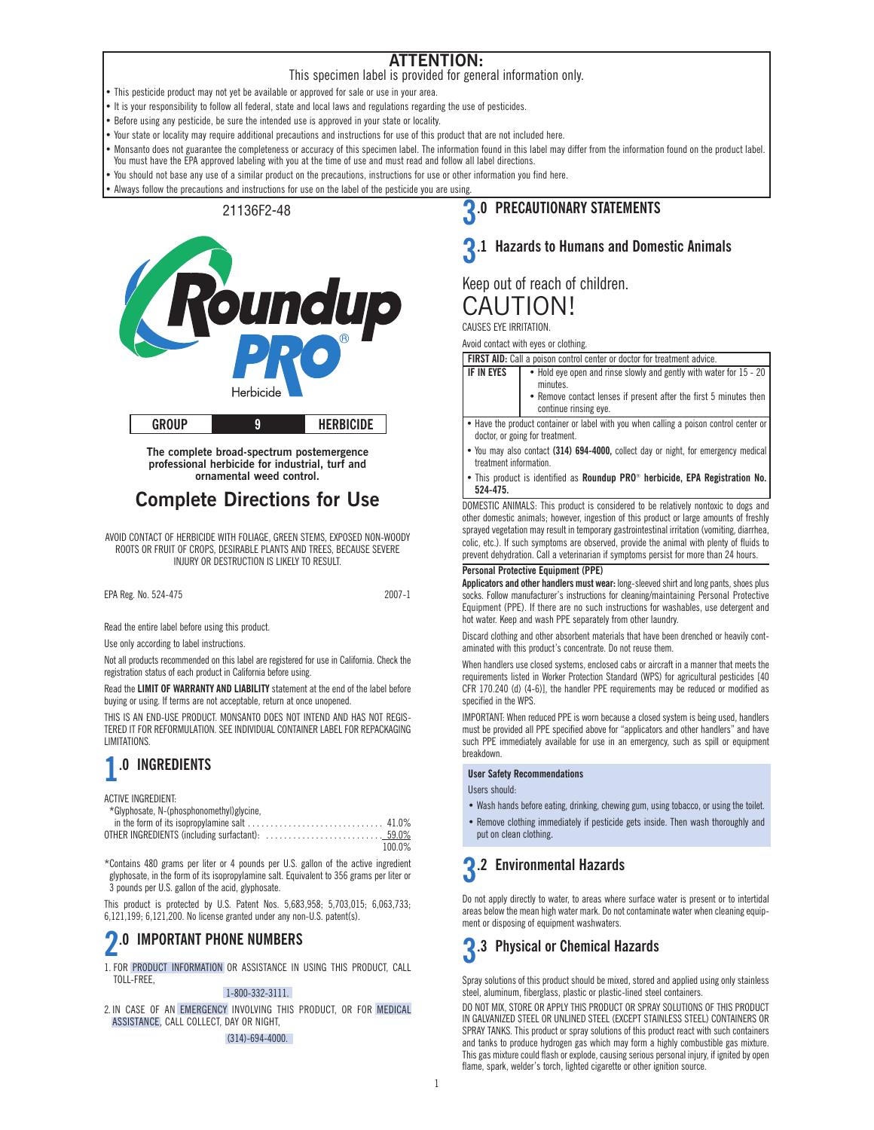### **ATTENTION:**

This specimen label is provided for general information only.

• This pesticide product may not yet be available or approved for sale or use in your area.

• It is your responsibility to follow all federal, state and local laws and regulations regarding the use of pesticides.

• Before using any pesticide, be sure the intended use is approved in your state or locality.

• Your state or locality may require additional precautions and instructions for use of this product that are not included here.

- Monsanto does not guarantee the completeness or accuracy of this specimen label. The information found in this label may differ from the information found on the product label. You must have the EPA approved labeling with you at the time of use and must read and follow all label directions.
- You should not base any use of a similar product on the precautions, instructions for use or other information you find here.

Always follow the precautions and instructions for use on the label of the pesticide you are using.

### 21136F2-48



**The complete broad-spectrum postemergence professional herbicide for industrial, turf and ornamental weed control.**

### **Complete Directions for Use**

AVOID CONTACT OF HERBICIDE WITH FOLIAGE, GREEN STEMS, EXPOSED NON-WOODY ROOTS OR FRUIT OF CROPS, DESIRABLE PLANTS AND TREES, BECAUSE SEVERE INJURY OR DESTRUCTION IS LIKELY TO RESULT.

EPA Reg. No. 524-475 2007-1

Read the entire label before using this product.

Use only according to label instructions.

Not all products recommended on this label are registered for use in California. Check the registration status of each product in California before using.

Read the **LIMIT OF WARRANTY AND LIABILITY** statement at the end of the label before buying or using. If terms are not acceptable, return at once unopened.

THIS IS AN END-USE PRODUCT. MONSANTO DOES NOT INTEND AND HAS NOT REGIS-TERED IT FOR REFORMULATION. SEE INDIVIDUAL CONTAINER LABEL FOR REPACKAGING LIMITATIONS.

## **1.0 INGREDIENTS**

ACTIVE INGREDIENT:

| *Glyphosate, N-(phosphonomethyl)glycine, |  |
|------------------------------------------|--|
|------------------------------------------|--|

| 100.0% |
|--------|

\*Contains 480 grams per liter or 4 pounds per U.S. gallon of the active ingredient glyphosate, in the form of its isopropylamine salt. Equivalent to 356 grams per liter or 3 pounds per U.S. gallon of the acid, glyphosate.

This product is protected by U.S. Patent Nos. 5,683,958; 5,703,015; 6,063,733; 6,121,199; 6,121,200. No license granted under any non-U.S. patent(s).

### **2.0 IMPORTANT PHONE NUMBERS**

1. FOR PRODUCT INFORMATION OR ASSISTANCE IN USING THIS PRODUCT, CALL TOLL-FREE,

### 1-800-332-3111.

2. IN CASE OF AN EMERGENCY INVOLVING THIS PRODUCT, OR FOR MEDICAL ASSISTANCE, CALL COLLECT, DAY OR NIGHT,

### (314)-694-4000.

### **3.0 PRECAUTIONARY STATEMENTS**

### **3.1 Hazards to Humans and Domestic Animals**

Keep out of reach of children. CAUTION!

CAUSES EYE IRRITATION.

Avoid contact with eyes or clothing.

|            | <b>FIRST AID:</b> Call a poison control center or doctor for treatment advice.             |
|------------|--------------------------------------------------------------------------------------------|
| IF IN EYES | • Hold eye open and rinse slowly and gently with water for 15 - 20<br>minutes.             |
|            | • Remove contact lenses if present after the first 5 minutes then<br>continue rinsing eye. |

• Have the product container or label with you when calling a poison control center or doctor, or going for treatment.

- You may also contact **(314) 694-4000,** collect day or night, for emergency medical treatment information.
- This product is identified as **Roundup PRO**® **herbicide, EPA Registration No. 524-475.**

DOMESTIC ANIMALS: This product is considered to be relatively nontoxic to dogs and other domestic animals; however, ingestion of this product or large amounts of freshly sprayed vegetation may result in temporary gastrointestinal irritation (vomiting, diarrhea, colic, etc.). If such symptoms are observed, provide the animal with plenty of fluids to prevent dehydration. Call a veterinarian if symptoms persist for more than 24 hours.

### **Personal Protective Equipment (PPE)**

**Applicators and other handlers must wear:** long-sleeved shirt and long pants, shoes plus socks. Follow manufacturer's instructions for cleaning/maintaining Personal Protective Equipment (PPE). If there are no such instructions for washables, use detergent and hot water. Keep and wash PPE separately from other laundry.

Discard clothing and other absorbent materials that have been drenched or heavily contaminated with this product's concentrate. Do not reuse them.

When handlers use closed systems, enclosed cabs or aircraft in a manner that meets the requirements listed in Worker Protection Standard (WPS) for agricultural pesticides [40 CFR 170.240 (d) (4-6)], the handler PPE requirements may be reduced or modified as specified in the WPS.

IMPORTANT: When reduced PPE is worn because a closed system is being used, handlers must be provided all PPE specified above for "applicators and other handlers" and have such PPE immediately available for use in an emergency, such as spill or equipment breakdown.

### **User Safety Recommendations**

Users should:

- Wash hands before eating, drinking, chewing gum, using tobacco, or using the toilet.
- Remove clothing immediately if pesticide gets inside. Then wash thoroughly and put on clean clothing.

## **3.2 Environmental Hazards**

Do not apply directly to water, to areas where surface water is present or to intertidal areas below the mean high water mark. Do not contaminate water when cleaning equipment or disposing of equipment washwaters.

## **3.3 Physical or Chemical Hazards**

Spray solutions of this product should be mixed, stored and applied using only stainless steel, aluminum, fiberglass, plastic or plastic-lined steel containers.

DO NOT MIX, STORE OR APPLY THIS PRODUCT OR SPRAY SOLUTIONS OF THIS PRODUCT IN GALVANIZED STEEL OR UNLINED STEEL (EXCEPT STAINLESS STEEL) CONTAINERS OR SPRAY TANKS. This product or spray solutions of this product react with such containers and tanks to produce hydrogen gas which may form a highly combustible gas mixture. This gas mixture could flash or explode, causing serious personal injury, if ignited by open flame, spark, welder's torch, lighted cigarette or other ignition source.

1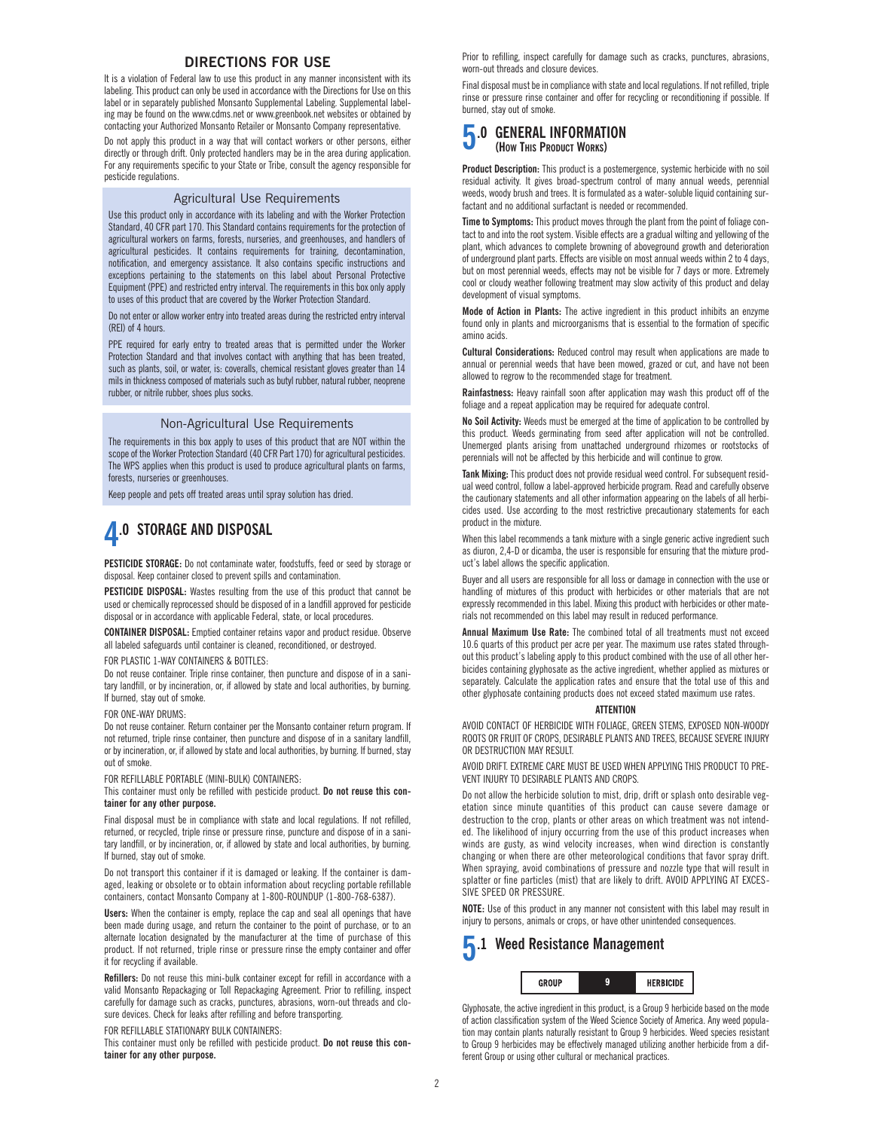### **DIRECTIONS FOR USE**

It is a violation of Federal law to use this product in any manner inconsistent with its labeling. This product can only be used in accordance with the Directions for Use on this label or in separately published Monsanto Supplemental Labeling. Supplemental labeling may be found on the www.cdms.net or www.greenbook.net websites or obtained by contacting your Authorized Monsanto Retailer or Monsanto Company representative.

Do not apply this product in a way that will contact workers or other persons, either directly or through drift. Only protected handlers may be in the area during application. For any requirements specific to your State or Tribe, consult the agency responsible for pesticide regulations.

### Agricultural Use Requirements

Use this product only in accordance with its labeling and with the Worker Protection Standard, 40 CFR part 170. This Standard contains requirements for the protection of agricultural workers on farms, forests, nurseries, and greenhouses, and handlers of agricultural pesticides. It contains requirements for training, decontamination, notification, and emergency assistance. It also contains specific instructions and exceptions pertaining to the statements on this label about Personal Protective Equipment (PPE) and restricted entry interval. The requirements in this box only apply to uses of this product that are covered by the Worker Protection Standard.

Do not enter or allow worker entry into treated areas during the restricted entry interval (REI) of 4 hours.

PPE required for early entry to treated areas that is permitted under the Worker Protection Standard and that involves contact with anything that has been treated, such as plants, soil, or water, is: coveralls, chemical resistant gloves greater than 14 mils in thickness composed of materials such as butyl rubber, natural rubber, neoprene rubber, or nitrile rubber, shoes plus socks.

### Non-Agricultural Use Requirements

The requirements in this box apply to uses of this product that are NOT within the scope of the Worker Protection Standard (40 CFR Part 170) for agricultural pesticides. The WPS applies when this product is used to produce agricultural plants on farms, forests, nurseries or greenhouses.

Keep people and pets off treated areas until spray solution has dried.

### **4.0 STORAGE AND DISPOSAL**

**PESTICIDE STORAGE:** Do not contaminate water, foodstuffs, feed or seed by storage or disposal. Keep container closed to prevent spills and contamination.

**PESTICIDE DISPOSAL:** Wastes resulting from the use of this product that cannot be used or chemically reprocessed should be disposed of in a landfill approved for pesticide disposal or in accordance with applicable Federal, state, or local procedures.

**CONTAINER DISPOSAL:** Emptied container retains vapor and product residue. Observe all labeled safeguards until container is cleaned, reconditioned, or destroyed.

FOR PLASTIC 1-WAY CONTAINERS & BOTTLES:

Do not reuse container. Triple rinse container, then puncture and dispose of in a sanitary landfill, or by incineration, or, if allowed by state and local authorities, by burning. If burned, stay out of smoke.

FOR ONE-WAY DRUMS:

Do not reuse container. Return container per the Monsanto container return program. If not returned, triple rinse container, then puncture and dispose of in a sanitary landfill, or by incineration, or, if allowed by state and local authorities, by burning. If burned, stay out of smoke.

FOR REFILLABLE PORTABLE (MINI-BULK) CONTAINERS:

This container must only be refilled with pesticide product. **Do not reuse this container for any other purpose.**

Final disposal must be in compliance with state and local regulations. If not refilled, returned, or recycled, triple rinse or pressure rinse, puncture and dispose of in a sanitary landfill, or by incineration, or, if allowed by state and local authorities, by burning. If burned, stay out of smoke.

Do not transport this container if it is damaged or leaking. If the container is damaged, leaking or obsolete or to obtain information about recycling portable refillable containers, contact Monsanto Company at 1-800-ROUNDUP (1-800-768-6387).

**Users:** When the container is empty, replace the cap and seal all openings that have been made during usage, and return the container to the point of purchase, or to an alternate location designated by the manufacturer at the time of purchase of this product. If not returned, triple rinse or pressure rinse the empty container and offer it for recycling if available.

**Refillers:** Do not reuse this mini-bulk container except for refill in accordance with a valid Monsanto Repackaging or Toll Repackaging Agreement. Prior to refilling, inspect carefully for damage such as cracks, punctures, abrasions, worn-out threads and closure devices. Check for leaks after refilling and before transporting.

FOR REFILLABLE STATIONARY BULK CONTAINERS:

This container must only be refilled with pesticide product. **Do not reuse this container for any other purpose.**

Prior to refilling, inspect carefully for damage such as cracks, punctures, abrasions, worn-out threads and closure devices.

Final disposal must be in compliance with state and local regulations. If not refilled, triple rinse or pressure rinse container and offer for recycling or reconditioning if possible. If burned, stay out of smoke.

### **5.0 GENERAL INFORMATION (HOW THIS PRODUCT WORKS)**

**Product Description:** This product is a postemergence, systemic herbicide with no soil residual activity. It gives broad-spectrum control of many annual weeds, perennial weeds, woody brush and trees. It is formulated as a water-soluble liquid containing surfactant and no additional surfactant is needed or recommended.

**Time to Symptoms:** This product moves through the plant from the point of foliage contact to and into the root system. Visible effects are a gradual wilting and yellowing of the plant, which advances to complete browning of aboveground growth and deterioration of underground plant parts. Effects are visible on most annual weeds within 2 to 4 days, but on most perennial weeds, effects may not be visible for 7 days or more. Extremely cool or cloudy weather following treatment may slow activity of this product and delay development of visual symptoms.

**Mode of Action in Plants:** The active ingredient in this product inhibits an enzyme found only in plants and microorganisms that is essential to the formation of specific amino acids.

**Cultural Considerations:** Reduced control may result when applications are made to annual or perennial weeds that have been mowed, grazed or cut, and have not been allowed to regrow to the recommended stage for treatment.

**Rainfastness:** Heavy rainfall soon after application may wash this product off of the foliage and a repeat application may be required for adequate control.

**No Soil Activity:** Weeds must be emerged at the time of application to be controlled by this product. Weeds germinating from seed after application will not be controlled. Unemerged plants arising from unattached underground rhizomes or rootstocks of perennials will not be affected by this herbicide and will continue to grow.

**Tank Mixing:** This product does not provide residual weed control. For subsequent residual weed control, follow a label-approved herbicide program. Read and carefully observe the cautionary statements and all other information appearing on the labels of all herbicides used. Use according to the most restrictive precautionary statements for each product in the mixture.

When this label recommends a tank mixture with a single generic active ingredient such as diuron, 2,4-D or dicamba, the user is responsible for ensuring that the mixture product's label allows the specific application.

Buyer and all users are responsible for all loss or damage in connection with the use or handling of mixtures of this product with herbicides or other materials that are not expressly recommended in this label. Mixing this product with herbicides or other materials not recommended on this label may result in reduced performance.

**Annual Maximum Use Rate:** The combined total of all treatments must not exceed 10.6 quarts of this product per acre per year. The maximum use rates stated throughout this product's labeling apply to this product combined with the use of all other herbicides containing glyphosate as the active ingredient, whether applied as mixtures or separately. Calculate the application rates and ensure that the total use of this and other glyphosate containing products does not exceed stated maximum use rates.

### **ATTENTION**

AVOID CONTACT OF HERBICIDE WITH FOLIAGE, GREEN STEMS, EXPOSED NON-WOODY ROOTS OR FRUIT OF CROPS, DESIRABLE PLANTS AND TREES, BECAUSE SEVERE INJURY OR DESTRUCTION MAY RESULT.

AVOID DRIFT. EXTREME CARE MUST BE USED WHEN APPLYING THIS PRODUCT TO PRE-VENT INJURY TO DESIRABLE PLANTS AND CROPS.

Do not allow the herbicide solution to mist, drip, drift or splash onto desirable vegetation since minute quantities of this product can cause severe damage or destruction to the crop, plants or other areas on which treatment was not intended. The likelihood of injury occurring from the use of this product increases when winds are gusty, as wind velocity increases, when wind direction is constantly changing or when there are other meteorological conditions that favor spray drift. When spraying, avoid combinations of pressure and nozzle type that will result in splatter or fine particles (mist) that are likely to drift. AVOID APPLYING AT EXCES-SIVE SPEED OR PRESSURE.

**NOTE:** Use of this product in any manner not consistent with this label may result in injury to persons, animals or crops, or have other unintended consequences.

### **5.1 Weed Resistance Management** GROUP  $\mathbf{q}$ HERBICIDE

Glyphosate, the active ingredient in this product, is a Group 9 herbicide based on the mode of action classification system of the Weed Science Society of America. Any weed population may contain plants naturally resistant to Group 9 herbicides. Weed species resistant to Group 9 herbicides may be effectively managed utilizing another herbicide from a different Group or using other cultural or mechanical practices.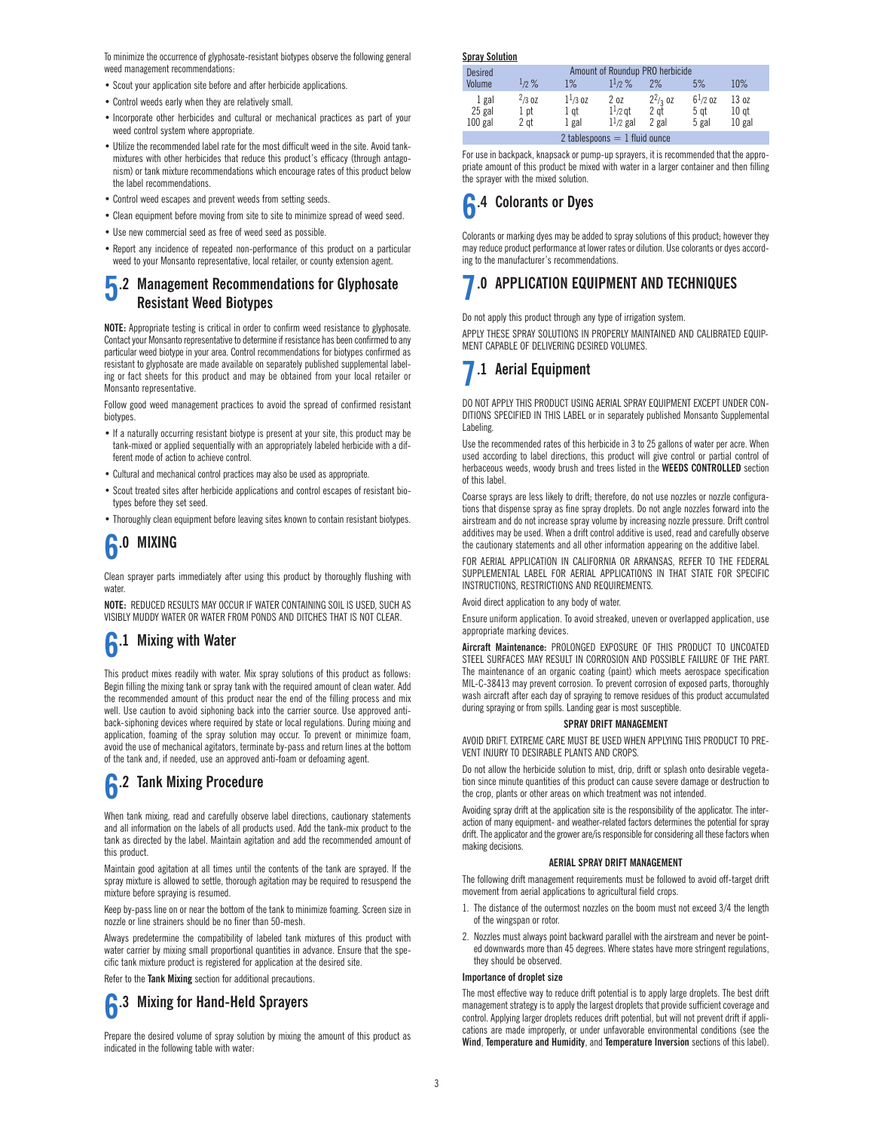To minimize the occurrence of glyphosate-resistant biotypes observe the following general weed management recommendations:

- Scout your application site before and after herbicide applications.
- Control weeds early when they are relatively small.
- Incorporate other herbicides and cultural or mechanical practices as part of your weed control system where appropriate.
- Utilize the recommended label rate for the most difficult weed in the site. Avoid tankmixtures with other herbicides that reduce this product's efficacy (through antagonism) or tank mixture recommendations which encourage rates of this product below the label recommendations.
- Control weed escapes and prevent weeds from setting seeds.
- Clean equipment before moving from site to site to minimize spread of weed seed.
- Use new commercial seed as free of weed seed as possible.
- Report any incidence of repeated non-performance of this product on a particular weed to your Monsanto representative, local retailer, or county extension agent.

### **5.2 Management Recommendations for Glyphosate Resistant Weed Biotypes**

**NOTE:** Appropriate testing is critical in order to confirm weed resistance to glyphosate. Contact your Monsanto representative to determine if resistance has been confirmed to any particular weed biotype in your area. Control recommendations for biotypes confirmed as resistant to glyphosate are made available on separately published supplemental labeling or fact sheets for this product and may be obtained from your local retailer or Monsanto representative.

Follow good weed management practices to avoid the spread of confirmed resistant biotypes.

- If a naturally occurring resistant biotype is present at your site, this product may be tank-mixed or applied sequentially with an appropriately labeled herbicide with a different mode of action to achieve control.
- Cultural and mechanical control practices may also be used as appropriate.
- Scout treated sites after herbicide applications and control escapes of resistant biotypes before they set seed.
- Thoroughly clean equipment before leaving sites known to contain resistant biotypes.

# **6.0 MIXING**

Clean sprayer parts immediately after using this product by thoroughly flushing with water

**NOTE:** REDUCED RESULTS MAY OCCUR IF WATER CONTAINING SOIL IS USED, SUCH AS VISIBLY MUDDY WATER OR WATER FROM PONDS AND DITCHES THAT IS NOT CLEAR.

## **6.1 Mixing with Water**

This product mixes readily with water. Mix spray solutions of this product as follows: Begin filling the mixing tank or spray tank with the required amount of clean water. Add the recommended amount of this product near the end of the filling process and mix well. Use caution to avoid siphoning back into the carrier source. Use approved antiback-siphoning devices where required by state or local regulations. During mixing and application, foaming of the spray solution may occur. To prevent or minimize foam, avoid the use of mechanical agitators, terminate by-pass and return lines at the bottom of the tank and, if needed, use an approved anti-foam or defoaming agent.

## **6.2 Tank Mixing Procedure**

When tank mixing, read and carefully observe label directions, cautionary statements and all information on the labels of all products used. Add the tank-mix product to the tank as directed by the label. Maintain agitation and add the recommended amount of this product.

Maintain good agitation at all times until the contents of the tank are sprayed. If the spray mixture is allowed to settle, thorough agitation may be required to resuspend the mixture before spraying is resumed.

Keep by-pass line on or near the bottom of the tank to minimize foaming. Screen size in nozzle or line strainers should be no finer than 50-mesh.

Always predetermine the compatibility of labeled tank mixtures of this product with water carrier by mixing small proportional quantities in advance. Ensure that the specific tank mixture product is registered for application at the desired site.

Refer to the **Tank Mixing** section for additional precautions.



Prepare the desired volume of spray solution by mixing the amount of this product as indicated in the following table with water:

**Spray Solution**

| <b>Desired</b><br>Volume        | $1/2\%$                     | $1\%$                         | Amount of Roundup PRO herbicide<br>$1^{1/2}$ % | 2%                          | 5%                            | 10%                                   |  |
|---------------------------------|-----------------------------|-------------------------------|------------------------------------------------|-----------------------------|-------------------------------|---------------------------------------|--|
| 1 gal<br>25 gal<br>$100$ gal    | $^{2}/3.07$<br>1 pt<br>2 at | $1^{1/3}$ oz<br>1 gt<br>1 gal | 2oz<br>$11/2$ gt<br>$1^{1/2}$ gal              | $2^2/3$ oz<br>2 gt<br>2 gal | $6^{1/2}$ oz<br>5 gt<br>5 gal | 13 oz<br>10 <sub>gt</sub><br>$10$ gal |  |
| 2 tablespoons $= 1$ fluid ounce |                             |                               |                                                |                             |                               |                                       |  |

For use in backpack, knapsack or pump-up sprayers, it is recommended that the appropriate amount of this product be mixed with water in a larger container and then filling the sprayer with the mixed solution.

## **6.4 Colorants or Dyes**

Colorants or marking dyes may be added to spray solutions of this product; however they may reduce product performance at lower rates or dilution. Use colorants or dyes according to the manufacturer's recommendations.

## **7.0 APPLICATION EQUIPMENT AND TECHNIQUES**

Do not apply this product through any type of irrigation system.

APPLY THESE SPRAY SOLUTIONS IN PROPERLY MAINTAINED AND CALIBRATED EQUIP-MENT CAPABLE OF DELIVERING DESIRED VOLUMES.

### **7.1 Aerial Equipment**

DO NOT APPLY THIS PRODUCT USING AERIAL SPRAY EQUIPMENT EXCEPT UNDER CON-DITIONS SPECIFIED IN THIS LABEL or in separately published Monsanto Supplemental Labeling.

Use the recommended rates of this herbicide in 3 to 25 gallons of water per acre. When used according to label directions, this product will give control or partial control of herbaceous weeds, woody brush and trees listed in the **WEEDS CONTROLLED** section of this label.

Coarse sprays are less likely to drift; therefore, do not use nozzles or nozzle configurations that dispense spray as fine spray droplets. Do not angle nozzles forward into the airstream and do not increase spray volume by increasing nozzle pressure. Drift control additives may be used. When a drift control additive is used, read and carefully observe the cautionary statements and all other information appearing on the additive label.

FOR AERIAL APPLICATION IN CALIFORNIA OR ARKANSAS, REFER TO THE FEDERAL SUPPLEMENTAL LABEL FOR AERIAL APPLICATIONS IN THAT STATE FOR SPECIFIC INSTRUCTIONS, RESTRICTIONS AND REQUIREMENTS.

Avoid direct application to any body of water.

Ensure uniform application. To avoid streaked, uneven or overlapped application, use appropriate marking devices.

**Aircraft Maintenance:** PROLONGED EXPOSURE OF THIS PRODUCT TO UNCOATED STEEL SURFACES MAY RESULT IN CORROSION AND POSSIBLE FAILURE OF THE PART. The maintenance of an organic coating (paint) which meets aerospace specification MIL-C-38413 may prevent corrosion. To prevent corrosion of exposed parts, thoroughly wash aircraft after each day of spraying to remove residues of this product accumulated during spraying or from spills. Landing gear is most susceptible.

### **SPRAY DRIFT MANAGEMENT**

AVOID DRIFT. EXTREME CARE MUST BE USED WHEN APPLYING THIS PRODUCT TO PRE-VENT INJURY TO DESIRABLE PLANTS AND CROPS.

Do not allow the herbicide solution to mist, drip, drift or splash onto desirable vegetation since minute quantities of this product can cause severe damage or destruction to the crop, plants or other areas on which treatment was not intended.

Avoiding spray drift at the application site is the responsibility of the applicator. The interaction of many equipment- and weather-related factors determines the potential for spray drift. The applicator and the grower are/is responsible for considering all these factors when making decisions.

### **AERIAL SPRAY DRIFT MANAGEMENT**

The following drift management requirements must be followed to avoid off-target drift movement from aerial applications to agricultural field crops.

- 1. The distance of the outermost nozzles on the boom must not exceed 3/4 the length of the wingspan or rotor.
- 2. Nozzles must always point backward parallel with the airstream and never be pointed downwards more than 45 degrees. Where states have more stringent regulations, they should be observed.

### **Importance of droplet size**

The most effective way to reduce drift potential is to apply large droplets. The best drift management strategy is to apply the largest droplets that provide sufficient coverage and control. Applying larger droplets reduces drift potential, but will not prevent drift if applications are made improperly, or under unfavorable environmental conditions (see the **Wind**, **Temperature and Humidity**, and **Temperature Inversion** sections of this label).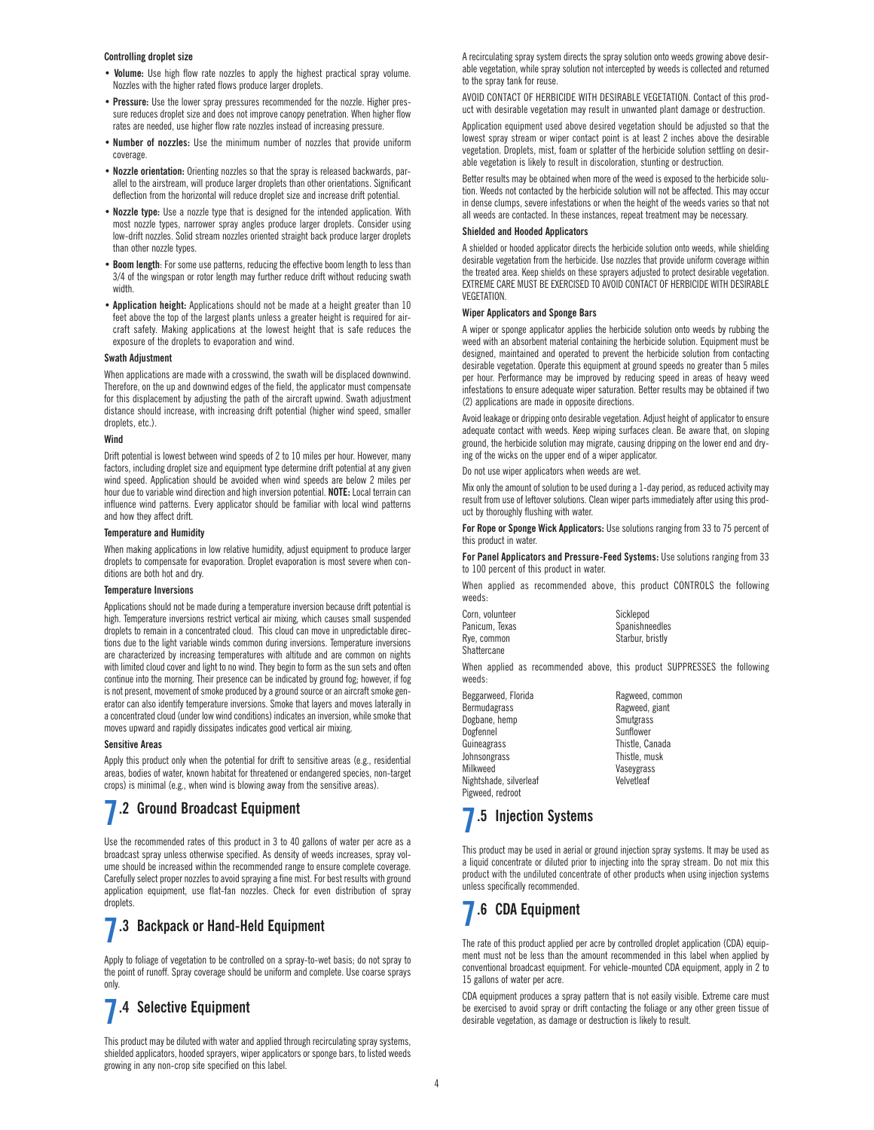### **Controlling droplet size**

- **Volume:** Use high flow rate nozzles to apply the highest practical spray volume. Nozzles with the higher rated flows produce larger droplets.
- **Pressure:** Use the lower spray pressures recommended for the nozzle. Higher pressure reduces droplet size and does not improve canopy penetration. When higher flow rates are needed, use higher flow rate nozzles instead of increasing pressure.
- **Number of nozzles:** Use the minimum number of nozzles that provide uniform coverage.
- **Nozzle orientation:** Orienting nozzles so that the spray is released backwards, parallel to the airstream, will produce larger droplets than other orientations. Significant deflection from the horizontal will reduce droplet size and increase drift potential.
- **Nozzle type:** Use a nozzle type that is designed for the intended application. With most nozzle types, narrower spray angles produce larger droplets. Consider using low-drift nozzles. Solid stream nozzles oriented straight back produce larger droplets than other nozzle types.
- **Boom length**: For some use patterns, reducing the effective boom length to less than 3/4 of the wingspan or rotor length may further reduce drift without reducing swath width.
- **Application height:** Applications should not be made at a height greater than 10 feet above the top of the largest plants unless a greater height is required for aircraft safety. Making applications at the lowest height that is safe reduces the exposure of the droplets to evaporation and wind.

#### **Swath Adjustment**

When applications are made with a crosswind, the swath will be displaced downwind. Therefore, on the up and downwind edges of the field, the applicator must compensate for this displacement by adjusting the path of the aircraft upwind. Swath adjustment distance should increase, with increasing drift potential (higher wind speed, smaller droplets, etc.).

### **Wind**

Drift potential is lowest between wind speeds of 2 to 10 miles per hour. However, many factors, including droplet size and equipment type determine drift potential at any given wind speed. Application should be avoided when wind speeds are below 2 miles per hour due to variable wind direction and high inversion potential. **NOTE:** Local terrain can influence wind patterns. Every applicator should be familiar with local wind patterns and how they affect drift.

#### **Temperature and Humidity**

When making applications in low relative humidity, adjust equipment to produce larger droplets to compensate for evaporation. Droplet evaporation is most severe when conditions are both hot and dry.

#### **Temperature Inversions**

Applications should not be made during a temperature inversion because drift potential is high. Temperature inversions restrict vertical air mixing, which causes small suspended droplets to remain in a concentrated cloud. This cloud can move in unpredictable directions due to the light variable winds common during inversions. Temperature inversions are characterized by increasing temperatures with altitude and are common on nights with limited cloud cover and light to no wind. They begin to form as the sun sets and often continue into the morning. Their presence can be indicated by ground fog; however, if fog is not present, movement of smoke produced by a ground source or an aircraft smoke generator can also identify temperature inversions. Smoke that layers and moves laterally in a concentrated cloud (under low wind conditions) indicates an inversion, while smoke that moves upward and rapidly dissipates indicates good vertical air mixing.

#### **Sensitive Areas**

Apply this product only when the potential for drift to sensitive areas (e.g., residential areas, bodies of water, known habitat for threatened or endangered species, non-target crops) is minimal (e.g., when wind is blowing away from the sensitive areas).

## **7.2 Ground Broadcast Equipment**

Use the recommended rates of this product in 3 to 40 gallons of water per acre as a broadcast spray unless otherwise specified. As density of weeds increases, spray volume should be increased within the recommended range to ensure complete coverage. Carefully select proper nozzles to avoid spraying a fine mist. For best results with ground application equipment, use flat-fan nozzles. Check for even distribution of spray droplets.

### **7.3 Backpack or Hand-Held Equipment**

Apply to foliage of vegetation to be controlled on a spray-to-wet basis; do not spray to the point of runoff. Spray coverage should be uniform and complete. Use coarse sprays only.

## **7.4 Selective Equipment**

This product may be diluted with water and applied through recirculating spray systems, shielded applicators, hooded sprayers, wiper applicators or sponge bars, to listed weeds growing in any non-crop site specified on this label.

A recirculating spray system directs the spray solution onto weeds growing above desirable vegetation, while spray solution not intercepted by weeds is collected and returned to the spray tank for reuse.

AVOID CONTACT OF HERBICIDE WITH DESIRABLE VEGETATION. Contact of this product with desirable vegetation may result in unwanted plant damage or destruction.

Application equipment used above desired vegetation should be adjusted so that the lowest spray stream or wiper contact point is at least 2 inches above the desirable vegetation. Droplets, mist, foam or splatter of the herbicide solution settling on desirable vegetation is likely to result in discoloration, stunting or destruction.

Better results may be obtained when more of the weed is exposed to the herbicide solution. Weeds not contacted by the herbicide solution will not be affected. This may occur in dense clumps, severe infestations or when the height of the weeds varies so that not all weeds are contacted. In these instances, repeat treatment may be necessary.

#### **Shielded and Hooded Applicators**

A shielded or hooded applicator directs the herbicide solution onto weeds, while shielding desirable vegetation from the herbicide. Use nozzles that provide uniform coverage within the treated area. Keep shields on these sprayers adjusted to protect desirable vegetation. EXTREME CARE MUST BE EXERCISED TO AVOID CONTACT OF HERBICIDE WITH DESIRABLE VEGETATION.

### **Wiper Applicators and Sponge Bars**

A wiper or sponge applicator applies the herbicide solution onto weeds by rubbing the weed with an absorbent material containing the herbicide solution. Equipment must be designed, maintained and operated to prevent the herbicide solution from contacting desirable vegetation. Operate this equipment at ground speeds no greater than 5 miles per hour. Performance may be improved by reducing speed in areas of heavy weed infestations to ensure adequate wiper saturation. Better results may be obtained if two (2) applications are made in opposite directions.

Avoid leakage or dripping onto desirable vegetation. Adjust height of applicator to ensure adequate contact with weeds. Keep wiping surfaces clean. Be aware that, on sloping ground, the herbicide solution may migrate, causing dripping on the lower end and drying of the wicks on the upper end of a wiper applicator.

Do not use wiper applicators when weeds are wet.

Mix only the amount of solution to be used during a 1-day period, as reduced activity may result from use of leftover solutions. Clean wiper parts immediately after using this product by thoroughly flushing with water.

**For Rope or Sponge Wick Applicators:** Use solutions ranging from 33 to 75 percent of this product in water.

**For Panel Applicators and Pressure-Feed Systems:** Use solutions ranging from 33 to 100 percent of this product in water.

When applied as recommended above, this product CONTROLS the following weeds:

| Corn, volunteer | Sicklepod        |
|-----------------|------------------|
| Panicum. Texas  | Spanishneedle    |
| Rve. common     | Starbur, bristly |
| Shattercane     |                  |

Spanishneedles

When applied as recommended above, this product SUPPRESSES the following weeds:

Beggarweed, Florida **Ragweed, common**<br>Bermudagrass Begges Ragweed, giant Dogbane, hemp Smutgrass<br>Dogfennel Sunflower Dogfennel Guineagrass **Thistle, Canada** Johnsongrass Thistle, musk Nightshade, silverleaf Pigweed, redroot

Ragweed, giant<br>Smutgrass Vaseygrass<br>Velvetleaf

## **7.5 Injection Systems**

This product may be used in aerial or ground injection spray systems. It may be used as a liquid concentrate or diluted prior to injecting into the spray stream. Do not mix this product with the undiluted concentrate of other products when using injection systems unless specifically recommended.

## **7.6 CDA Equipment**

The rate of this product applied per acre by controlled droplet application (CDA) equipment must not be less than the amount recommended in this label when applied by conventional broadcast equipment. For vehicle-mounted CDA equipment, apply in 2 to 15 gallons of water per acre.

CDA equipment produces a spray pattern that is not easily visible. Extreme care must be exercised to avoid spray or drift contacting the foliage or any other green tissue of desirable vegetation, as damage or destruction is likely to result.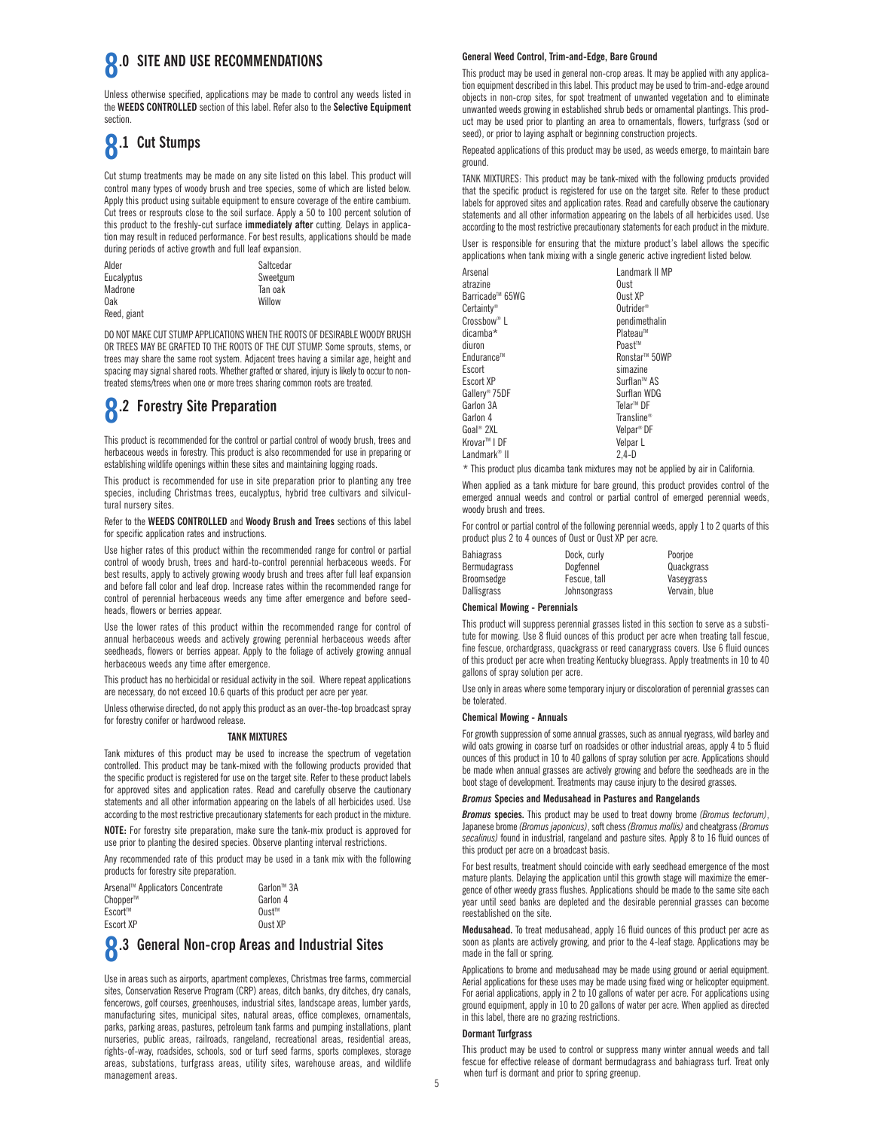### **8.0** SITE AND USE RECOMMENDATIONS

Unless otherwise specified, applications may be made to control any weeds listed in the **WEEDS CONTROLLED** section of this label. Refer also to the **Selective Equipment** section.

## **8.1 Cut Stumps**

Cut stump treatments may be made on any site listed on this label. This product will control many types of woody brush and tree species, some of which are listed below. Apply this product using suitable equipment to ensure coverage of the entire cambium. Cut trees or resprouts close to the soil surface. Apply a 50 to 100 percent solution of this product to the freshly-cut surface **immediately after** cutting. Delays in application may result in reduced performance. For best results, applications should be made during periods of active growth and full leaf expansion.

| Alder             | Saltcedar |
|-------------------|-----------|
| <b>Eucalvptus</b> | Sweetgum  |
| Madrone           | Tan oak   |
| 0ak               | Willow    |
| Reed, giant       |           |

DO NOT MAKE CUT STUMP APPLICATIONS WHEN THE ROOTS OF DESIRABLE WOODY BRUSH OR TREES MAY BE GRAFTED TO THE ROOTS OF THE CUT STUMP. Some sprouts, stems, or trees may share the same root system. Adjacent trees having a similar age, height and spacing may signal shared roots. Whether grafted or shared, injury is likely to occur to nontreated stems/trees when one or more trees sharing common roots are treated.

## **8.2 Forestry Site Preparation**

This product is recommended for the control or partial control of woody brush, trees and herbaceous weeds in forestry. This product is also recommended for use in preparing or establishing wildlife openings within these sites and maintaining logging roads.

This product is recommended for use in site preparation prior to planting any tree species, including Christmas trees, eucalyptus, hybrid tree cultivars and silvicultural nursery sites.

Refer to the **WEEDS CONTROLLED** and **Woody Brush and Trees** sections of this label for specific application rates and instructions.

Use higher rates of this product within the recommended range for control or partial control of woody brush, trees and hard-to-control perennial herbaceous weeds. For best results, apply to actively growing woody brush and trees after full leaf expansion and before fall color and leaf drop. Increase rates within the recommended range for control of perennial herbaceous weeds any time after emergence and before seedheads, flowers or berries appear.

Use the lower rates of this product within the recommended range for control of annual herbaceous weeds and actively growing perennial herbaceous weeds after seedheads, flowers or berries appear. Apply to the foliage of actively growing annual herbaceous weeds any time after emergence.

This product has no herbicidal or residual activity in the soil. Where repeat applications are necessary, do not exceed 10.6 quarts of this product per acre per year.

Unless otherwise directed, do not apply this product as an over-the-top broadcast spray for forestry conifer or hardwood release.

### **TANK MIXTURES**

Tank mixtures of this product may be used to increase the spectrum of vegetation controlled. This product may be tank-mixed with the following products provided that the specific product is registered for use on the target site. Refer to these product labels for approved sites and application rates. Read and carefully observe the cautionary statements and all other information appearing on the labels of all herbicides used. Use according to the most restrictive precautionary statements for each product in the mixture.

**NOTE:** For forestry site preparation, make sure the tank-mix product is approved for use prior to planting the desired species. Observe planting interval restrictions.

Any recommended rate of this product may be used in a tank mix with the following products for forestry site preparation.

| Arsenal™ Applicators Concentrate | Garlon™ 3A            |
|----------------------------------|-----------------------|
| Chopper™                         | Garlon 4              |
| Escort™                          | $0$ ust <sup>tm</sup> |
| Escort XP                        | Oust XP               |

## **8.3 General Non-crop Areas and Industrial Sites**

Use in areas such as airports, apartment complexes, Christmas tree farms, commercial sites, Conservation Reserve Program (CRP) areas, ditch banks, dry ditches, dry canals, fencerows, golf courses, greenhouses, industrial sites, landscape areas, lumber yards, manufacturing sites, municipal sites, natural areas, office complexes, ornamentals, parks, parking areas, pastures, petroleum tank farms and pumping installations, plant nurseries, public areas, railroads, rangeland, recreational areas, residential areas, rights-of-way, roadsides, schools, sod or turf seed farms, sports complexes, storage areas, substations, turfgrass areas, utility sites, warehouse areas, and wildlife management areas.

### **General Weed Control, Trim-and-Edge, Bare Ground**

This product may be used in general non-crop areas. It may be applied with any application equipment described in this label. This product may be used to trim-and-edge around objects in non-crop sites, for spot treatment of unwanted vegetation and to eliminate unwanted weeds growing in established shrub beds or ornamental plantings. This product may be used prior to planting an area to ornamentals, flowers, turfgrass (sod or seed), or prior to laying asphalt or beginning construction projects.

Repeated applications of this product may be used, as weeds emerge, to maintain bare ground.

TANK MIXTURES: This product may be tank-mixed with the following products provided that the specific product is registered for use on the target site. Refer to these product labels for approved sites and application rates. Read and carefully observe the cautionary statements and all other information appearing on the labels of all herbicides used. Use according to the most restrictive precautionary statements for each product in the mixture.

User is responsible for ensuring that the mixture product's label allows the specific applications when tank mixing with a single generic active ingredient listed below.

| Landmark II MP            |
|---------------------------|
| Oust                      |
| Oust XP                   |
| Outrider <sup>®</sup>     |
| pendimethalin             |
| Plateau™                  |
| Poast™                    |
| Ronstar <sup>™</sup> 50WP |
| simazine                  |
| Surflan™ AS               |
| Surflan WDG               |
| Telar <sup>™</sup> DF     |
| Transline <sup>®</sup>    |
| Velpar <sup>®</sup> DF    |
| Velpar L                  |
| 2.4-D                     |
|                           |

\* This product plus dicamba tank mixtures may not be applied by air in California.

When applied as a tank mixture for bare ground, this product provides control of the emerged annual weeds and control or partial control of emerged perennial weeds, woody brush and trees.

For control or partial control of the following perennial weeds, apply 1 to 2 quarts of this product plus 2 to 4 ounces of Oust or Oust XP per acre.

| <b>Bahiagrass</b><br><b>Bermudagrass</b> | Dock. curly<br>Dogfennel | Poorioe<br>Quackgrass |
|------------------------------------------|--------------------------|-----------------------|
| Broomsedge                               | Fescue, tall             | Vasevgrass            |
| <b>Dallisgrass</b>                       | Johnsongrass             | Vervain, blue         |

### **Chemical Mowing - Perennials**

This product will suppress perennial grasses listed in this section to serve as a substitute for mowing. Use 8 fluid ounces of this product per acre when treating tall fescue, fine fescue, orchardgrass, quackgrass or reed canarygrass covers. Use 6 fluid ounces of this product per acre when treating Kentucky bluegrass. Apply treatments in 10 to 40 gallons of spray solution per acre.

Use only in areas where some temporary injury or discoloration of perennial grasses can be tolerated.

### **Chemical Mowing - Annuals**

For growth suppression of some annual grasses, such as annual ryegrass, wild barley and wild oats growing in coarse turf on roadsides or other industrial areas, apply 4 to 5 fluid ounces of this product in 10 to 40 gallons of spray solution per acre. Applications should be made when annual grasses are actively growing and before the seedheads are in the boot stage of development. Treatments may cause injury to the desired grasses.

### *Bromus* **Species and Medusahead in Pastures and Rangelands**

*Bromus* **species.** This product may be used to treat downy brome *(Bromus tectorum)*, Japanese brome *(Bromus japonicus)*, soft chess *(Bromus mollis)* and cheatgrass *(Bromus secalinus)* found in industrial, rangeland and pasture sites. Apply 8 to 16 fluid ounces of this product per acre on a broadcast basis.

For best results, treatment should coincide with early seedhead emergence of the most mature plants. Delaying the application until this growth stage will maximize the emergence of other weedy grass flushes. Applications should be made to the same site each year until seed banks are depleted and the desirable perennial grasses can become reestablished on the site.

**Medusahead.** To treat medusahead, apply 16 fluid ounces of this product per acre as soon as plants are actively growing, and prior to the 4-leaf stage. Applications may be made in the fall or spring.

Applications to brome and medusahead may be made using ground or aerial equipment. Aerial applications for these uses may be made using fixed wing or helicopter equipment. For aerial applications, apply in 2 to 10 gallons of water per acre. For applications using ground equipment, apply in 10 to 20 gallons of water per acre. When applied as directed in this label, there are no grazing restrictions.

### **Dormant Turfgrass**

This product may be used to control or suppress many winter annual weeds and tall fescue for effective release of dormant bermudagrass and bahiagrass turf. Treat only when turf is dormant and prior to spring greenup.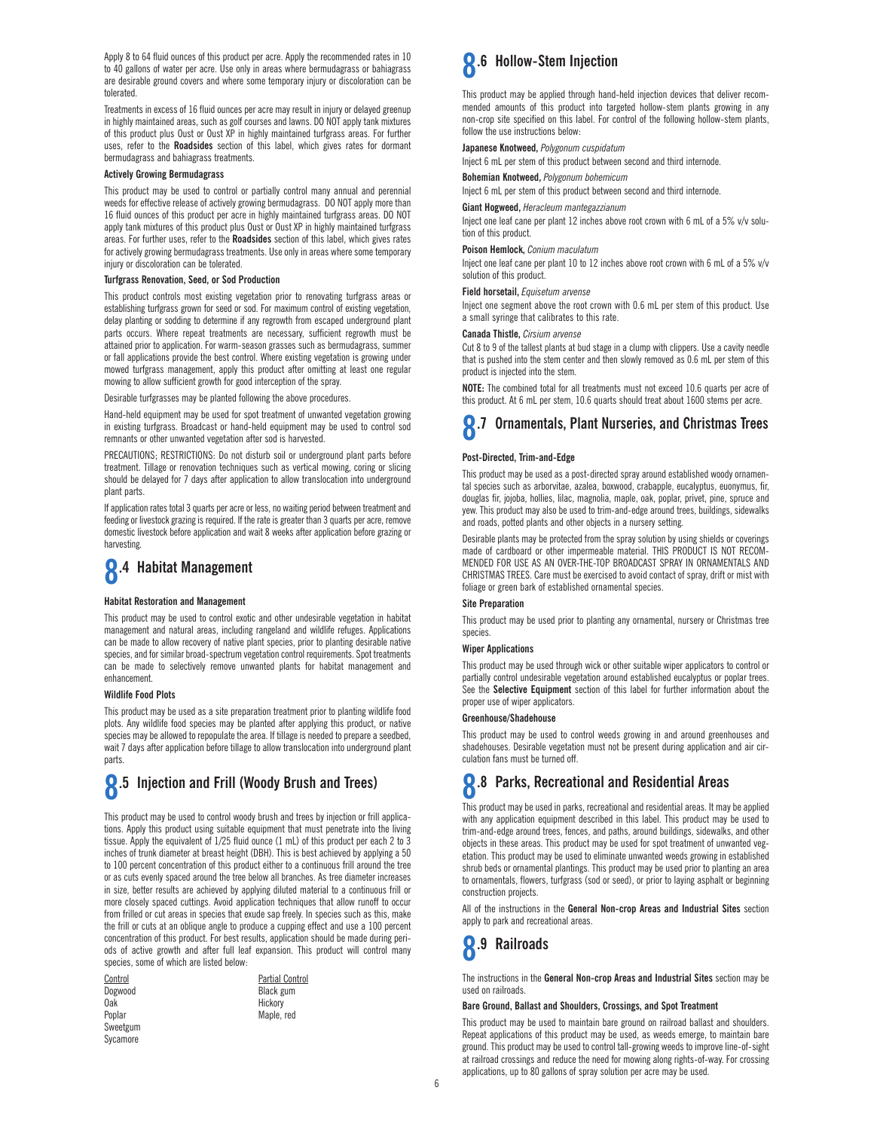Apply 8 to 64 fluid ounces of this product per acre. Apply the recommended rates in 10 to 40 gallons of water per acre. Use only in areas where bermudagrass or bahiagrass are desirable ground covers and where some temporary injury or discoloration can be tolerated.

Treatments in excess of 16 fluid ounces per acre may result in injury or delayed greenup in highly maintained areas, such as golf courses and lawns. DO NOT apply tank mixtures of this product plus Oust or Oust XP in highly maintained turfgrass areas. For further uses, refer to the **Roadsides** section of this label, which gives rates for dormant bermudagrass and bahiagrass treatments.

### **Actively Growing Bermudagrass**

This product may be used to control or partially control many annual and perennial weeds for effective release of actively growing bermudagrass. DO NOT apply more than 16 fluid ounces of this product per acre in highly maintained turfgrass areas. DO NOT apply tank mixtures of this product plus Oust or Oust XP in highly maintained turfgrass areas. For further uses, refer to the **Roadsides** section of this label, which gives rates for actively growing bermudagrass treatments. Use only in areas where some temporary injury or discoloration can be tolerated.

### **Turfgrass Renovation, Seed, or Sod Production**

This product controls most existing vegetation prior to renovating turfgrass areas or establishing turfgrass grown for seed or sod. For maximum control of existing vegetation, delay planting or sodding to determine if any regrowth from escaped underground plant parts occurs. Where repeat treatments are necessary, sufficient regrowth must be attained prior to application. For warm-season grasses such as bermudagrass, summer or fall applications provide the best control. Where existing vegetation is growing under mowed turfgrass management, apply this product after omitting at least one regular mowing to allow sufficient growth for good interception of the spray.

Desirable turfgrasses may be planted following the above procedures.

Hand-held equipment may be used for spot treatment of unwanted vegetation growing in existing turfgrass. Broadcast or hand-held equipment may be used to control sod remnants or other unwanted vegetation after sod is harvested.

PRECAUTIONS; RESTRICTIONS: Do not disturb soil or underground plant parts before treatment. Tillage or renovation techniques such as vertical mowing, coring or slicing should be delayed for 7 days after application to allow translocation into underground plant parts.

If application rates total 3 quarts per acre or less, no waiting period between treatment and feeding or livestock grazing is required. If the rate is greater than 3 quarts per acre, remove domestic livestock before application and wait 8 weeks after application before grazing or harvesting.

## **8.4 Habitat Management**

### **Habitat Restoration and Management**

This product may be used to control exotic and other undesirable vegetation in habitat management and natural areas, including rangeland and wildlife refuges. Applications can be made to allow recovery of native plant species, prior to planting desirable native species, and for similar broad-spectrum vegetation control requirements. Spot treatments can be made to selectively remove unwanted plants for habitat management and enhancement.

#### **Wildlife Food Plots**

This product may be used as a site preparation treatment prior to planting wildlife food plots. Any wildlife food species may be planted after applying this product, or native species may be allowed to repopulate the area. If tillage is needed to prepare a seedbed, wait 7 days after application before tillage to allow translocation into underground plant parts.

## **8.5 Injection and Frill (Woody Brush and Trees)**

This product may be used to control woody brush and trees by injection or frill applications. Apply this product using suitable equipment that must penetrate into the living tissue. Apply the equivalent of  $1/25$  fluid ounce (1 mL) of this product per each 2 to  $\overline{3}$ inches of trunk diameter at breast height (DBH). This is best achieved by applying a 50 to 100 percent concentration of this product either to a continuous frill around the tree or as cuts evenly spaced around the tree below all branches. As tree diameter increases in size, better results are achieved by applying diluted material to a continuous frill or more closely spaced cuttings. Avoid application techniques that allow runoff to occur from frilled or cut areas in species that exude sap freely. In species such as this, make the frill or cuts at an oblique angle to produce a cupping effect and use a 100 percent concentration of this product. For best results, application should be made during periods of active growth and after full leaf expansion. This product will control many species, some of which are listed below-

| Control  |  |  |
|----------|--|--|
| Dogwood  |  |  |
| 0ak      |  |  |
| Poplar   |  |  |
| Sweetgum |  |  |
| Sycamore |  |  |

Partial Control Black gum Hickory Maple, red

**8.6 Hollow-Stem Injection**

This product may be applied through hand-held injection devices that deliver recommended amounts of this product into targeted hollow-stem plants growing in any non-crop site specified on this label. For control of the following hollow-stem plants, follow the use instructions below:

### **Japanese Knotweed,** *Polygonum cuspidatum*

Inject 6 mL per stem of this product between second and third internode.

**Bohemian Knotweed,** *Polygonum bohemicum* 

Inject 6 mL per stem of this product between second and third internode.

#### **Giant Hogweed,** *Heracleum mantegazzianum*

Inject one leaf cane per plant 12 inches above root crown with 6 mL of a 5% v/v solution of this product.

### **Poison Hemlock,** *Conium maculatum*

Inject one leaf cane per plant 10 to 12 inches above root crown with 6 mL of a 5% v/v solution of this product.

#### **Field horsetail,** *Equisetum arvense*

Inject one segment above the root crown with 0.6 mL per stem of this product. Use a small syringe that calibrates to this rate.

### **Canada Thistle,** *Cirsium arvense*

Cut 8 to 9 of the tallest plants at bud stage in a clump with clippers. Use a cavity needle that is pushed into the stem center and then slowly removed as 0.6 mL per stem of this product is injected into the stem.

**NOTE:** The combined total for all treatments must not exceed 10.6 quarts per acre of this product. At 6 mL per stem, 10.6 quarts should treat about 1600 stems per acre.

# **8.7 Ornamentals, Plant Nurseries, and Christmas Trees**

### **Post-Directed, Trim-and-Edge**

This product may be used as a post-directed spray around established woody ornamental species such as arborvitae, azalea, boxwood, crabapple, eucalyptus, euonymus, fir, douglas fir, jojoba, hollies, lilac, magnolia, maple, oak, poplar, privet, pine, spruce and yew. This product may also be used to trim-and-edge around trees, buildings, sidewalks and roads, potted plants and other objects in a nursery setting.

Desirable plants may be protected from the spray solution by using shields or coverings made of cardboard or other impermeable material. THIS PRODUCT IS NOT RECOM-MENDED FOR USE AS AN OVER-THE-TOP BROADCAST SPRAY IN ORNAMENTALS AND CHRISTMAS TREES. Care must be exercised to avoid contact of spray, drift or mist with foliage or green bark of established ornamental species.

### **Site Preparation**

This product may be used prior to planting any ornamental, nursery or Christmas tree species.

### **Wiper Applications**

This product may be used through wick or other suitable wiper applicators to control or partially control undesirable vegetation around established eucalyptus or poplar trees. See the **Selective Equipment** section of this label for further information about the proper use of wiper applicators.

#### **Greenhouse/Shadehouse**

This product may be used to control weeds growing in and around greenhouses and shadehouses. Desirable vegetation must not be present during application and air circulation fans must be turned off.

## **8.8 Parks, Recreational and Residential Areas**

This product may be used in parks, recreational and residential areas. It may be applied with any application equipment described in this label. This product may be used to trim-and-edge around trees, fences, and paths, around buildings, sidewalks, and other objects in these areas. This product may be used for spot treatment of unwanted vegetation. This product may be used to eliminate unwanted weeds growing in established shrub beds or ornamental plantings. This product may be used prior to planting an area to ornamentals, flowers, turfgrass (sod or seed), or prior to laying asphalt or beginning construction projects.

All of the instructions in the **General Non-crop Areas and Industrial Sites** section apply to park and recreational areas.



The instructions in the **General Non-crop Areas and Industrial Sites** section may be used on railroads.

### **Bare Ground, Ballast and Shoulders, Crossings, and Spot Treatment**

This product may be used to maintain bare ground on railroad ballast and shoulders. Repeat applications of this product may be used, as weeds emerge, to maintain bare ground. This product may be used to control tall-growing weeds to improve line-of-sight at railroad crossings and reduce the need for mowing along rights-of-way. For crossing applications, up to 80 gallons of spray solution per acre may be used.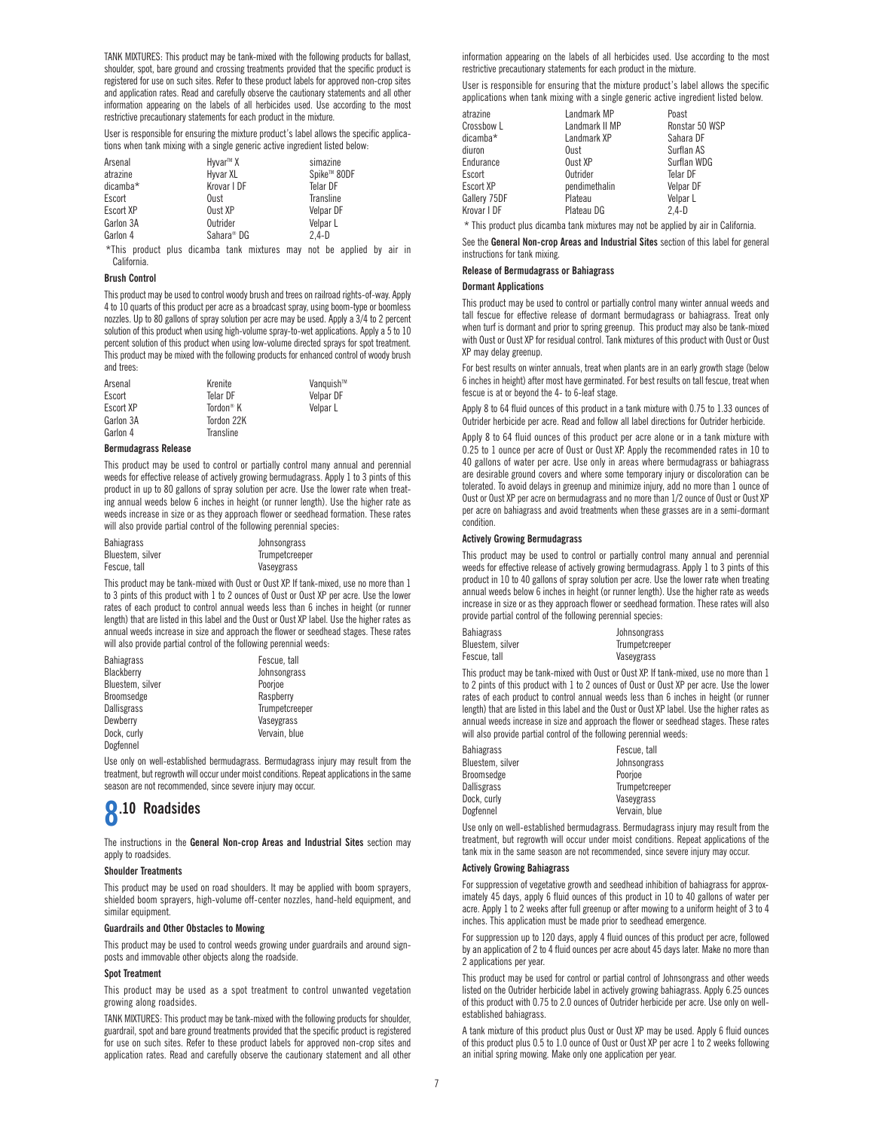TANK MIXTURES: This product may be tank-mixed with the following products for ballast, shoulder, spot, bare ground and crossing treatments provided that the specific product is registered for use on such sites. Refer to these product labels for approved non-crop sites and application rates. Read and carefully observe the cautionary statements and all other information appearing on the labels of all herbicides used. Use according to the most restrictive precautionary statements for each product in the mixture.

User is responsible for ensuring the mixture product's label allows the specific applications when tank mixing with a single generic active ingredient listed below:

| Arsenal   | Hyvar <sup>™</sup> X   | simazine    |
|-----------|------------------------|-------------|
| atrazine  | Hyvar XL               | Spike™ 80DF |
| dicamba*  | Krovar I DF            | Telar DF    |
| Escort    | Oust                   | Transline   |
| Escort XP | Oust XP                | Velpar DF   |
| Garlon 3A | Outrider               | Velpar L    |
| Garlon 4  | Sahara <sup>®</sup> DG | $2.4 - D$   |

\*This product plus dicamba tank mixtures may not be applied by air in California.

#### **Brush Control**

This product may be used to control woody brush and trees on railroad rights-of-way. Apply 4 to 10 quarts of this product per acre as a broadcast spray, using boom-type or boomless nozzles. Up to 80 gallons of spray solution per acre may be used. Apply a 3/4 to 2 percent solution of this product when using high-volume spray-to-wet applications. Apply a 5 to 10 percent solution of this product when using low-volume directed sprays for spot treatment. This product may be mixed with the following products for enhanced control of woody brush and trees.

| Arsenal   | Krenite    | Vanguish™ |
|-----------|------------|-----------|
| Escort    | Telar DF   | Velpar DF |
| Escort XP | Tordon® K  | Velpar L  |
| Garlon 3A | Tordon 22K |           |
| Garlon 4  | Transline  |           |

### **Bermudagrass Release**

This product may be used to control or partially control many annual and perennial weeds for effective release of actively growing bermudagrass. Apply 1 to 3 pints of this product in up to 80 gallons of spray solution per acre. Use the lower rate when treating annual weeds below 6 inches in height (or runner length). Use the higher rate as weeds increase in size or as they approach flower or seedhead formation. These rates will also provide partial control of the following perennial species:

| <b>Bahiagrass</b> | Johnsongrass   |
|-------------------|----------------|
| Bluestem, silver  | Trumpetcreeper |
| Fescue, tall      | Vaseygrass     |

This product may be tank-mixed with Oust or Oust XP. If tank-mixed, use no more than 1 to 3 pints of this product with 1 to 2 ounces of Oust or Oust XP per acre. Use the lower rates of each product to control annual weeds less than 6 inches in height (or runner length) that are listed in this label and the Oust or Oust XP label. Use the higher rates as annual weeds increase in size and approach the flower or seedhead stages. These rates will also provide partial control of the following perennial weeds:

| <b>Bahiagrass</b>  | Fescue, tall   |
|--------------------|----------------|
| Blackberry         | Johnsongrass   |
| Bluestem, silver   | Poorjoe        |
| Broomsedge         | Raspberry      |
| <b>Dallisgrass</b> | Trumpetcreeper |
| Dewberry           | Vaseygrass     |
| Dock, curly        | Vervain, blue  |
| Dogfennel          |                |

Use only on well-established bermudagrass. Bermudagrass injury may result from the treatment, but regrowth will occur under moist conditions. Repeat applications in the same season are not recommended, since severe injury may occur.

## **8.10 Roadsides**

The instructions in the **General Non-crop Areas and Industrial Sites** section may apply to roadsides.

### **Shoulder Treatments**

This product may be used on road shoulders. It may be applied with boom sprayers, shielded boom sprayers, high-volume off-center nozzles, hand-held equipment, and similar equipment.

### **Guardrails and Other Obstacles to Mowing**

This product may be used to control weeds growing under guardrails and around signposts and immovable other objects along the roadside.

### **Spot Treatment**

This product may be used as a spot treatment to control unwanted vegetation growing along roadsides.

TANK MIXTURES: This product may be tank-mixed with the following products for shoulder, guardrail, spot and bare ground treatments provided that the specific product is registered for use on such sites. Refer to these product labels for approved non-crop sites and application rates. Read and carefully observe the cautionary statement and all other

information appearing on the labels of all herbicides used. Use according to the most restrictive precautionary statements for each product in the mixture.

User is responsible for ensuring that the mixture product's label allows the specific applications when tank mixing with a single generic active ingredient listed below.

| atrazine     | Landmark MP    | Poast          |
|--------------|----------------|----------------|
| Crossbow L   | Landmark II MP | Ronstar 50 WSP |
| dicamba*     | Landmark XP    | Sahara DF      |
| diuron       | Oust           | Surflan AS     |
| Endurance    | Oust XP        | Surflan WDG    |
| Escort       | Outrider       | Telar DF       |
| Escort XP    | pendimethalin  | Velpar DF      |
| Gallery 75DF | Plateau        | Velpar L       |
| Krovar I DF  | Plateau DG     | $2.4-D$        |

\* This product plus dicamba tank mixtures may not be applied by air in California.

See the **General Non-crop Areas and Industrial Sites** section of this label for general instructions for tank mixing.

### **Release of Bermudagrass or Bahiagrass**

### **Dormant Applications**

This product may be used to control or partially control many winter annual weeds and tall fescue for effective release of dormant bermudagrass or bahiagrass. Treat only when turf is dormant and prior to spring greenup. This product may also be tank-mixed with Oust or Oust XP for residual control. Tank mixtures of this product with Oust or Oust XP may delay greenup.

For best results on winter annuals, treat when plants are in an early growth stage (below 6 inches in height) after most have germinated. For best results on tall fescue, treat when fescue is at or beyond the 4- to 6-leaf stage.

Apply 8 to 64 fluid ounces of this product in a tank mixture with 0.75 to 1.33 ounces of Outrider herbicide per acre. Read and follow all label directions for Outrider herbicide.

Apply 8 to 64 fluid ounces of this product per acre alone or in a tank mixture with 0.25 to 1 ounce per acre of Oust or Oust XP. Apply the recommended rates in 10 to 40 gallons of water per acre. Use only in areas where bermudagrass or bahiagrass are desirable ground covers and where some temporary injury or discoloration can be tolerated. To avoid delays in greenup and minimize injury, add no more than 1 ounce of Oust or Oust XP per acre on bermudagrass and no more than 1/2 ounce of Oust or Oust XP per acre on bahiagrass and avoid treatments when these grasses are in a semi-dormant condition.

### **Actively Growing Bermudagrass**

This product may be used to control or partially control many annual and perennial weeds for effective release of actively growing bermudagrass. Apply 1 to 3 pints of this product in 10 to 40 gallons of spray solution per acre. Use the lower rate when treating annual weeds below 6 inches in height (or runner length). Use the higher rate as weeds increase in size or as they approach flower or seedhead formation. These rates will also provide partial control of the following perennial species:

| Bahiagrass       | Johnsongrass   |
|------------------|----------------|
| Bluestem, silver | Trumpetcreeper |
| Fescue, tall     | Vaseygrass     |

This product may be tank-mixed with Oust or Oust XP. If tank-mixed, use no more than 1 to 2 pints of this product with 1 to 2 ounces of Oust or Oust XP per acre. Use the lower rates of each product to control annual weeds less than 6 inches in height (or runner length) that are listed in this label and the Oust or Oust XP label. Use the higher rates as annual weeds increase in size and approach the flower or seedhead stages. These rates will also provide partial control of the following perennial weeds:

| Bahiagrass       | Fescue, tall   |
|------------------|----------------|
| Bluestem, silver | Johnsongrass   |
| Broomsedge       | Poorioe        |
| Dallisgrass      | Trumpetcreeper |
| Dock, curly      | Vaseygrass     |
| Dogfennel        | Vervain, blue  |

Use only on well-established bermudagrass. Bermudagrass injury may result from the treatment, but regrowth will occur under moist conditions. Repeat applications of the tank mix in the same season are not recommended, since severe injury may occur.

### **Actively Growing Bahiagrass**

For suppression of vegetative growth and seedhead inhibition of bahiagrass for approximately 45 days, apply 6 fluid ounces of this product in 10 to 40 gallons of water per acre. Apply 1 to 2 weeks after full greenup or after mowing to a uniform height of 3 to 4 inches. This application must be made prior to seedhead emergence.

For suppression up to 120 days, apply 4 fluid ounces of this product per acre, followed by an application of 2 to 4 fluid ounces per acre about 45 days later. Make no more than 2 applications per year.

This product may be used for control or partial control of Johnsongrass and other weeds listed on the Outrider herbicide label in actively growing bahiagrass. Apply 6.25 ounces of this product with 0.75 to 2.0 ounces of Outrider herbicide per acre. Use only on wellestablished bahiagrass.

A tank mixture of this product plus Oust or Oust XP may be used. Apply 6 fluid ounces of this product plus 0.5 to 1.0 ounce of Oust or Oust XP per acre 1 to 2 weeks following an initial spring mowing. Make only one application per year.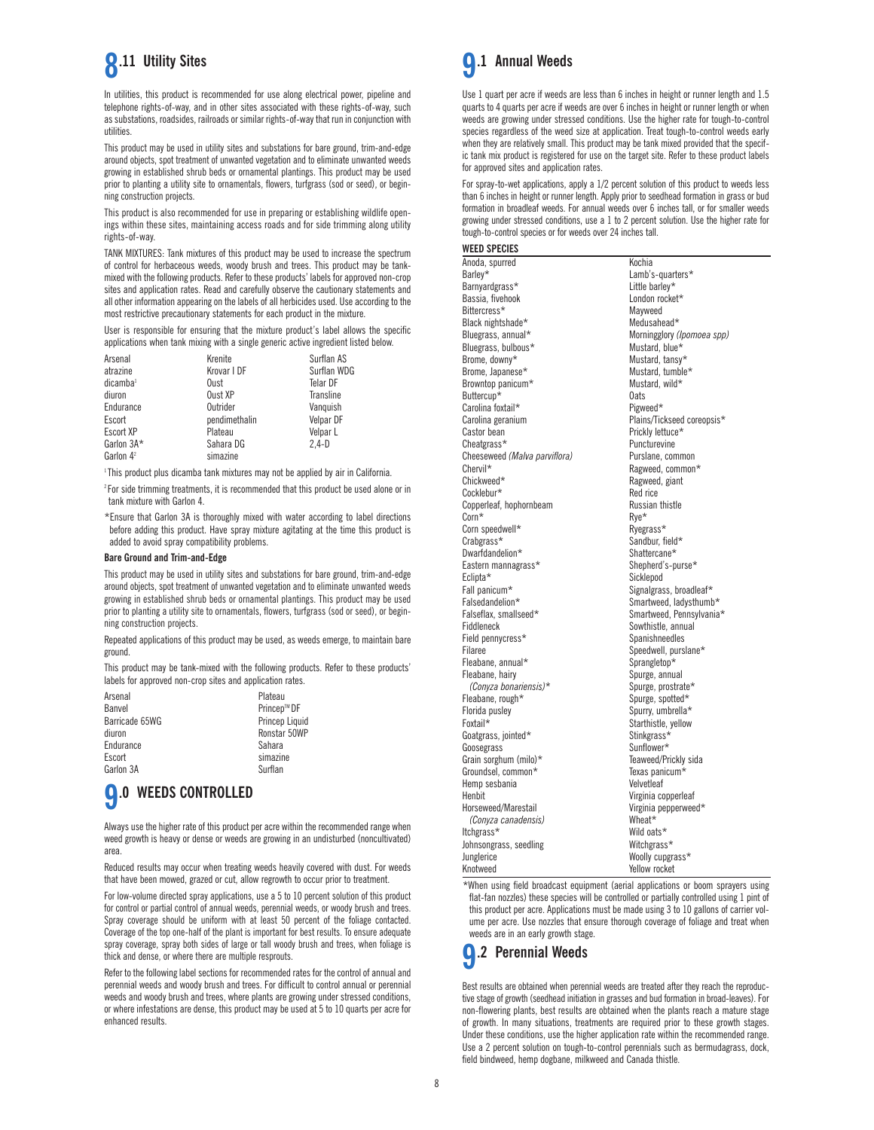

In utilities, this product is recommended for use along electrical power, pipeline and telephone rights-of-way, and in other sites associated with these rights-of-way, such as substations, roadsides, railroads or similar rights-of-way that run in conjunction with utilities.

This product may be used in utility sites and substations for bare ground, trim-and-edge around objects, spot treatment of unwanted vegetation and to eliminate unwanted weeds growing in established shrub beds or ornamental plantings. This product may be used prior to planting a utility site to ornamentals, flowers, turfgrass (sod or seed), or beginning construction projects.

This product is also recommended for use in preparing or establishing wildlife openings within these sites, maintaining access roads and for side trimming along utility rights-of-way.

TANK MIXTURES: Tank mixtures of this product may be used to increase the spectrum of control for herbaceous weeds, woody brush and trees. This product may be tankmixed with the following products. Refer to these products' labels for approved non-crop sites and application rates. Read and carefully observe the cautionary statements and all other information appearing on the labels of all herbicides used. Use according to the most restrictive precautionary statements for each product in the mixture.

User is responsible for ensuring that the mixture product's label allows the specific applications when tank mixing with a single generic active ingredient listed below.

| Arsenal               | Krenite       | Surflan AS  |
|-----------------------|---------------|-------------|
| atrazine              | Krovar I DF   | Surflan WDG |
| dicamba <sup>1</sup>  | Oust          | Telar DF    |
| diuron                | Oust XP       | Transline   |
| Endurance             | Outrider      | Vanguish    |
| Escort                | pendimethalin | Velpar DF   |
| <b>Escort XP</b>      | Plateau       | Velpar L    |
| Garlon 3A*            | Sahara DG     | $2.4-D$     |
| Garlon 4 <sup>2</sup> | simazine      |             |
|                       |               |             |

<sup>1</sup> This product plus dicamba tank mixtures may not be applied by air in California.

<sup>2</sup> For side trimming treatments, it is recommended that this product be used alone or in tank mixture with Garlon 4.

\*Ensure that Garlon 3A is thoroughly mixed with water according to label directions before adding this product. Have spray mixture agitating at the time this product is added to avoid spray compatibility problems.

### **Bare Ground and Trim-and-Edge**

This product may be used in utility sites and substations for bare ground, trim-and-edge around objects, spot treatment of unwanted vegetation and to eliminate unwanted weeds growing in established shrub beds or ornamental plantings. This product may be used prior to planting a utility site to ornamentals, flowers, turfgrass (sod or seed), or beginning construction projects.

Repeated applications of this product may be used, as weeds emerge, to maintain bare ground.

This product may be tank-mixed with the following products. Refer to these products' labels for approved non-crop sites and application rates.

| Plateau        |
|----------------|
| Princep™ DF    |
| Princep Liquid |
| Ronstar 50WP   |
| Sahara         |
| simazine       |
| Surflan        |
|                |

## **9.0 WEEDS CONTROLLED**

Always use the higher rate of this product per acre within the recommended range when weed growth is heavy or dense or weeds are growing in an undisturbed (noncultivated) area.

Reduced results may occur when treating weeds heavily covered with dust. For weeds that have been mowed, grazed or cut, allow regrowth to occur prior to treatment.

For low-volume directed spray applications, use a 5 to 10 percent solution of this product for control or partial control of annual weeds, perennial weeds, or woody brush and trees. Spray coverage should be uniform with at least 50 percent of the foliage contacted. Coverage of the top one-half of the plant is important for best results. To ensure adequate spray coverage, spray both sides of large or tall woody brush and trees, when foliage is thick and dense, or where there are multiple resprouts.

Refer to the following label sections for recommended rates for the control of annual and perennial weeds and woody brush and trees. For difficult to control annual or perennial weeds and woody brush and trees, where plants are growing under stressed conditions, or where infestations are dense, this product may be used at 5 to 10 quarts per acre for enhanced results.



Use 1 quart per acre if weeds are less than 6 inches in height or runner length and 1.5 quarts to 4 quarts per acre if weeds are over 6 inches in height or runner length or when weeds are growing under stressed conditions. Use the higher rate for tough-to-control species regardless of the weed size at application. Treat tough-to-control weeds early when they are relatively small. This product may be tank mixed provided that the specific tank mix product is registered for use on the target site. Refer to these product labels for approved sites and application rates.

For spray-to-wet applications, apply a 1/2 percent solution of this product to weeds less than 6 inches in height or runner length. Apply prior to seedhead formation in grass or bud formation in broadleaf weeds. For annual weeds over 6 inches tall, or for smaller weeds growing under stressed conditions, use a 1 to 2 percent solution. Use the higher rate for tough-to-control species or for weeds over 24 inches tall.

### **WEED SPECIES**

Anoda, spurred Kochia Barley\* Lamb's-quarters\* Lamb's-quarters\* Lamb's-quarters\* Barnyardgrass\* Little barley\* Little barley\* Little barley\* Little barley\* Little barley\* London rocket Bassia, fivehook Bittercress\* Mayweed<br>Black nightshade\* Medusahead\* Medusahead\* Black nightshade\*<br>Bluegrass, annual\* Morningglory (*Ipomoea spp)*<br>Mustard, blue\* Bluegrass, bulbous<sup>\*</sup><br>Brome\_downy\* Mustard, tansy\* Brome, Japanese\* Mustard, tumble\*<br>Browntop panicum\* Mustard, wild\* Browntop panicum\* Must<br>Ruttercun\* Mats Buttercup\* 0ats<br>Carolina foxtail\* Carolina of Carolina foxtail\* Carolina foxtail<sup>\*</sup> Carolina geranium and the corresponding Plains/Tickseed coreopsis\*<br>Castor bean controller provide Prickly lettuce\* Castor bean **Prickly lettuce**\* Prickly lettuce\*<br>
Cheatgrass \* Puncturevine Puncturevine<br>Purslane, common Cheeseweed *(Malva parviflora)*<br>Chervil\* Ragweed, common\* Chickweed\* Ragweed, giant<br>Cocklebur\* Red rice Red rice<br>Russian thistle Copperleaf, hophornbeam<br>  $\text{Corn}^*$  Rye\*  $\mathsf{Corn}^\star$  Rye $^\star$ Corn speedwell\* Ryegrass\* Crabgrass\* Sandbur, field\* Dwarfdandelion\* Shattercane\* Shattercane\* Shattercane\* Shattercane\* Shepherd's-purse\* Eastern mannagrass\*<br>Eclipta\* Eclipta\* Sicklepod<br>
Fall panicum\* Signalgras Fall panicum\* Signalgrass, broadleaf\*<br>Falsedandelion\* Smartweed, ladysthumb Falsedandelion\* Smartweed, ladysthumb\* Falseflax, smallseed\* Smartweed, Pennsylvania\* Sowthistle, annual Field pennycress\* Spanishneedles Filaree Speedwell, purslane\*<br>Fleabane, annual\* Sprangletop\* Fleabane, annual\* Sprangletop\*<br>Fleabane, hairy strategy of the Spurge, annual Fleabane, hairy<br>  $(Convza\ bonariensis)*$ Spurge, prostrate\* Fleabane, rough\* Spurge, spotted\* Florida pusley Spurry, umbrella\* Starthistle, yellow<br>Stinkgrass\* Goatgrass, jointed\* Goosegrass Sunflower\* Grain sorghum (milo) \* Teaweed/Prickly sides and the Texas panicum \* Texas panicum \* Groundsel, common\* Texas pan<br>Hemn seshania Texas velvetleaf Hemp sesbania<br>Henhit Virginia copperleaf Horseweed/Marestail **Virginia** pepperweed\* *(Conyza canadensis)* Wheat\* Itchgrass\* Wild oats\* Johnsongrass, seedling Junglerice Woolly cupgrass\* Knotweed Yellow rocket

\*When using field broadcast equipment (aerial applications or boom sprayers using flat-fan nozzles) these species will be controlled or partially controlled using 1 pint of this product per acre. Applications must be made using 3 to 10 gallons of carrier volume per acre. Use nozzles that ensure thorough coverage of foliage and treat when weeds are in an early growth stage.

## **9.2 Perennial Weeds**

Best results are obtained when perennial weeds are treated after they reach the reproductive stage of growth (seedhead initiation in grasses and bud formation in broad-leaves). For non-flowering plants, best results are obtained when the plants reach a mature stage of growth. In many situations, treatments are required prior to these growth stages. Under these conditions, use the higher application rate within the recommended range. Use a 2 percent solution on tough-to-control perennials such as bermudagrass, dock, field bindweed, hemp dogbane, milkweed and Canada thistle.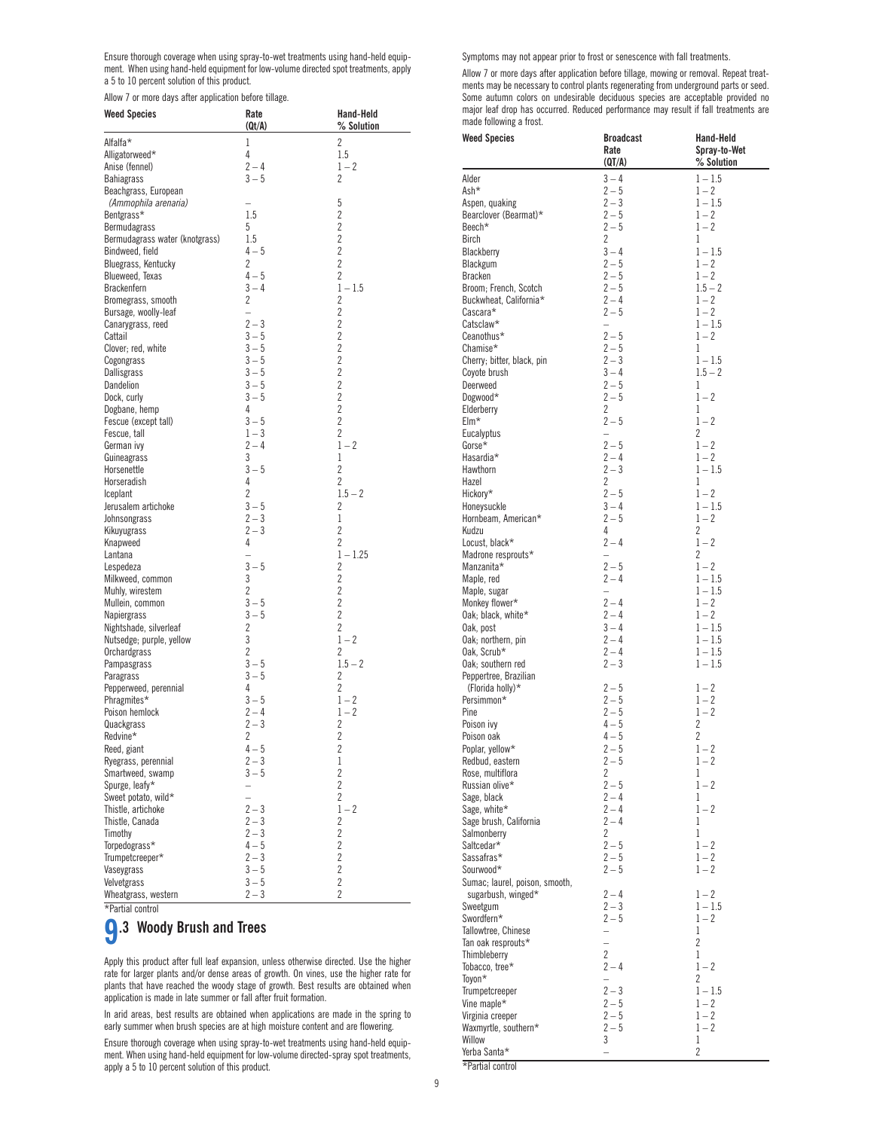Ensure thorough coverage when using spray-to-wet treatments using hand-held equipment. When using hand-held equipment for low-volume directed spot treatments, apply a 5 to 10 percent solution of this product.

Allow 7 or more days after application before tillage.

| <b>Weed Species</b>                        | Rate<br>(Qt/A)                                       | Hand-Held<br>% Solution     |
|--------------------------------------------|------------------------------------------------------|-----------------------------|
| Alfalfa*                                   | 1                                                    | 2                           |
| Alligatorweed*                             | 4                                                    | 1.5                         |
| Anise (fennel)                             | $2 - 4$                                              | $1 - 2$                     |
| <b>Bahiagrass</b>                          | $3 - 5$                                              | 2                           |
| Beachgrass, European                       |                                                      |                             |
| (Ammophila arenaria)                       |                                                      | 5                           |
| Bentgrass*                                 | 1.5                                                  | $\overline{c}$              |
| Bermudagrass                               | 5                                                    | $\overline{c}$              |
| Bermudagrass water (knotgrass)             | 1.5                                                  | $\overline{c}$              |
| Bindweed, field                            | $4 - 5$                                              | $\overline{c}$              |
| Bluegrass, Kentucky                        | 2                                                    | $\overline{c}$              |
| Blueweed, Texas                            | $4 - 5$                                              | $\overline{2}$              |
| Brackenfern                                | $3 - 4$                                              | $1 - 1.5$                   |
| Bromegrass, smooth<br>Bursage, woolly-leaf | 2<br>$\overline{\phantom{0}}$                        | 2<br>$\overline{c}$         |
| Canarygrass, reed                          | $2 - 3$                                              | 2                           |
| Cattail                                    | $3 - 5$                                              | $\overline{c}$              |
| Clover; red, white                         | $3 - 5$                                              | $\overline{c}$              |
| Cogongrass                                 | $3 - 5$                                              | 2                           |
| Dallisgrass                                | $3 - 5$                                              | $\overline{c}$              |
| Dandelion                                  | $3 - 5$                                              | $\overline{c}$              |
| Dock, curly                                | $3 - 5$                                              | $\overline{c}$              |
| Dogbane, hemp                              | 4                                                    | $\overline{c}$              |
| Fescue (except tall)                       | $3 - 5$                                              | $\overline{2}$              |
| Fescue, tall                               | $1 - 3$                                              | 2                           |
| German ivy                                 | $2 - 4$                                              | $1 - 2$                     |
| Guineagrass                                | 3                                                    | 1                           |
| Horsenettle                                | $3 - 5$                                              | 2                           |
| Horseradish                                | 4<br>$\overline{2}$                                  | $\overline{2}$<br>$1.5 - 2$ |
| Iceplant<br>Jerusalem artichoke            | $3 - 5$                                              | 2                           |
| Johnsongrass                               | $2 - 3$                                              | 1                           |
| Kikuyugrass                                | $2 - 3$                                              | $\overline{2}$              |
| Knapweed                                   | 4                                                    | 2                           |
| Lantana                                    |                                                      | $1 - 1.25$                  |
| Lespedeza                                  | $3 - 5$                                              | 2                           |
| Milkweed, common                           | 3                                                    | 2                           |
| Muhly, wirestem                            | 2                                                    | $\overline{c}$              |
| Mullein, common                            | $3 - 5$<br>$3 - 5$                                   | $\overline{c}$<br>2         |
| Napiergrass<br>Nightshade, silverleaf      | 2                                                    | $\overline{2}$              |
| Nutsedge; purple, yellow                   | 3                                                    | $1 - 2$                     |
| Orchardgrass                               | 2                                                    | 2                           |
| Pampasgrass                                | $3 - 5$                                              | $1.5 - 2$                   |
| Paragrass                                  | $3 - 5$                                              | 2                           |
| Pepperweed, perennial                      | 4                                                    | 2                           |
| Phragmites*                                | $3 - 5$                                              | $1 - 2$                     |
| Poison hemlock                             | $2 - 4$                                              | $1 - 2$                     |
| Quackgrass                                 | $2 - 3$                                              | 2                           |
| Redvine*                                   | 2                                                    | $\overline{c}$              |
| Reed, giant                                | $4 - 5$                                              | $\overline{c}$              |
| Ryegrass, perennial                        | $2 - 3$                                              | 1<br>$\overline{c}$         |
| Smartweed, swamp                           | $3 - 5$                                              | $\overline{c}$              |
| Spurge, leafy*<br>Sweet potato, wild*      | $\overline{\phantom{0}}$<br>$\overline{\phantom{0}}$ | 2                           |
| Thistle, artichoke                         | $2 - 3$                                              | $1 - 2$                     |
| Thistle, Canada                            | $2 - 3$                                              | 2                           |
| Timothy                                    | $2 - 3$                                              | 2                           |
| Torpedograss*                              | $4 - 5$                                              | $\overline{c}$              |
| Trumpetcreeper*                            | $2 - 3$                                              | $\overline{c}$              |
| Vaseygrass                                 | $3 - 5$                                              | 2                           |
| Velvetgrass                                | $3 - 5$                                              | $\overline{c}$              |
| Wheatgrass, western                        | $2 - 3$                                              | $\overline{2}$              |

\*Partial control

# **9.3 Woody Brush and Trees**

Apply this product after full leaf expansion, unless otherwise directed. Use the higher rate for larger plants and/or dense areas of growth. On vines, use the higher rate for plants that have reached the woody stage of growth. Best results are obtained when application is made in late summer or fall after fruit formation.

In arid areas, best results are obtained when applications are made in the spring to early summer when brush species are at high moisture content and are flowering.

Ensure thorough coverage when using spray-to-wet treatments using hand-held equipment. When using hand-held equipment for low-volume directed-spray spot treatments, apply a 5 to 10 percent solution of this product.

Symptoms may not appear prior to frost or senescence with fall treatments.

Allow 7 or more days after application before tillage, mowing or removal. Repeat treatments may be necessary to control plants regenerating from underground parts or seed. Some autumn colors on undesirable deciduous species are acceptable provided no major leaf drop has occurred. Reduced performance may result if fall treatments are made following a frost.

| <b>Weed Species</b>                        | <b>Broadcast</b>                    | Hand-Held              |
|--------------------------------------------|-------------------------------------|------------------------|
|                                            | Rate                                | Spray-to-Wet           |
|                                            | (QT/A)                              | % Solution             |
| Alder<br>Ash*                              | $3 - 4$<br>$2 - 5$                  | $1 - 1.5$              |
| Aspen, quaking                             | $2 - 3$                             | $1 - 2$<br>$1 - 1.5$   |
| Bearclover (Bearmat)*                      | $2 - 5$                             | $1 - 2$                |
| Beech*                                     | $2 - 5$                             | $1 - 2$                |
| <b>Birch</b>                               | 2                                   | 1                      |
| Blackberry                                 | $3 - 4$                             | $1 - 1.5$              |
| Blackgum                                   | $2 - 5$                             | $1 - 2$                |
| <b>Bracken</b><br>Broom; French, Scotch    | $2 - 5$<br>$2 - 5$                  | $1 - 2$<br>$1.5 - 2$   |
| Buckwheat, California*                     | $2 - 4$                             | $1 - 2$                |
| Cascara*                                   | $2 - 5$                             | $1 - 2$                |
| Catsclaw*                                  | $\overline{\phantom{0}}$            | $1 - 1.5$              |
| Ceanothus*                                 | $2 - 5$                             | $1 - 2$                |
| Chamise*                                   | $2 - 5$                             | 1                      |
| Cherry; bitter, black, pin<br>Coyote brush | $2 - 3$<br>$3 - 4$                  | $1 - 1.5$<br>$1.5 - 2$ |
| Deerweed                                   | $2 - 5$                             | 1                      |
| Dogwood*                                   | $2 - 5$                             | $1 - 2$                |
| Elderberry                                 | 2                                   | 1                      |
| Elm*                                       | $2 - 5$                             | $1 - 2$                |
| Eucalyptus                                 | $\qquad \qquad -$                   | 2                      |
| Gorse*<br>Hasardia*                        | $2 - 5$<br>$2 - 4$                  | $1 - 2$<br>$1 - 2$     |
| Hawthorn                                   | $2 - 3$                             | $1 - 1.5$              |
| Hazel                                      | 2                                   | 1                      |
| Hickory*                                   | $2 - 5$                             | $1 - 2$                |
| Honeysuckle                                | $3 - 4$                             | $1 - 1.5$              |
| Hornbeam, American*                        | $2 - 5$                             | $1 - 2$                |
| Kudzu                                      | 4<br>$2 - 4$                        | 2<br>$1 - 2$           |
| Locust, black*<br>Madrone resprouts*       | $\qquad \qquad -$                   | 2                      |
| Manzanita*                                 | $2 - 5$                             | $1 - 2$                |
| Maple, red                                 | $2 - 4$                             | $1 - 1.5$              |
| Maple, sugar                               | $\overline{\phantom{0}}$            | $1 - 1.5$              |
| Monkey flower*                             | $2 - 4$                             | $1 - 2$                |
| Oak; black, white*                         | $2 - 4$                             | $1 - 2$                |
| Oak, post                                  | $3 - 4$<br>$2 - 4$                  | $1 - 1.5$<br>$1 - 1.5$ |
| Oak; northern, pin<br>Oak, Scrub*          | $2 - 4$                             | $1 - 1.5$              |
| Oak; southern red                          | $2 - 3$                             | $1 - 1.5$              |
| Peppertree, Brazilian                      |                                     |                        |
| (Florida holly)*                           | $2 - 5$                             | $1 - 2$                |
| Persimmon*                                 | $2 - 5$                             | $1 - 2$                |
| Pine                                       | $2 - 5$<br>$4 - 5$                  | $1 - 2$<br>2           |
| Poison ivy<br>Poison oak                   | $4 - 5$                             | 2                      |
| Poplar, yellow*                            | $2 - 5$                             | $1 - 2$                |
| Redbud, eastern                            | $2 - 5$                             | $1 - 2$                |
| Rose, multiflora                           | 2                                   | T                      |
| Russian olive*                             | $2 - 5$                             | $1 - 2$                |
| Sage, black                                | $2 - 4$                             | 1                      |
| Sage, white*<br>Sage brush, California     | $2 - 4$<br>$2 - 4$                  | $1 - 2$<br>1           |
| Salmonberry                                | 2                                   | 1                      |
| Saltcedar*                                 | $2 - 5$                             | $1 - 2$                |
| Sassafras*                                 | $2 - 5$                             | $1 - 2$                |
| Sourwood*                                  | $2 - 5$                             | $1 - 2$                |
| Sumac; laurel, poison, smooth,             |                                     |                        |
| sugarbush, winged*<br>Sweetgum             | $2 - 4$<br>$2 - 3$                  | $1 - 2$<br>$1 - 1.5$   |
| Swordfern*                                 | $2 - 5$                             | $1 - 2$                |
| Tallowtree, Chinese                        | -                                   | 1                      |
| Tan oak resprouts*                         |                                     | 2                      |
| Thimbleberry                               | 2                                   | 1                      |
| Tobacco, tree*                             | $2 - 4$                             | $1 - 2$                |
| Toyon*                                     | $\overline{\phantom{0}}$<br>$2 - 3$ | 2<br>$1 - 1.5$         |
| Trumpetcreeper<br>Vine maple*              | $2 - 5$                             | $1 - 2$                |
| Virginia creeper                           | $2 - 5$                             | $1 - 2$                |
| Waxmyrtle, southern*                       | $2 - 5$                             | $1 - 2$                |
| Willow                                     | 3                                   | 1                      |
| Yerba Santa*                               |                                     | 2                      |
| *Partial control                           |                                     |                        |